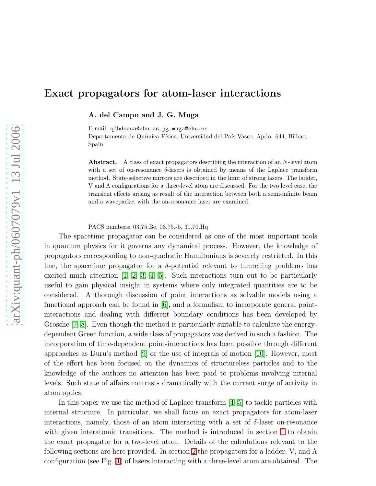# Exact propagators for atom-laser interactions

A. del Campo and J. G. Muga

E-mail: qfbdeeca@ehu.es, jg.muga@ehu.es

Departamento de Química-Física, Universidad del País Vasco, Apdo. 644, Bilbao, Spain

Abstract. A class of exact propagators describing the interaction of an N-level atom with a set of on-resonance  $\delta$ -lasers is obtained by means of the Laplace transform method. State-selective mirrors are described in the limit of strong lasers. The ladder, V and Λ configurations for a three-level atom are discussed. For the two level case, the transient effects arising as result of the interaction between both a semi-infinite beam and a wavepacket with the on-resonance laser are examined.

PACS numbers: 03.75.Be, 03.75.-b, 31.70.Hq

The spacetime propagator can be considered as one of the most important tools in quantum physics for it governs any dynamical process. However, the knowledge of propagators corresponding to non-quadratic Hamiltonians is severely restricted. In this line, the spacetime propagator for a  $\delta$ -potential relevant to tunnelling problems has excited much attention [\[1,](#page-11-0) [2,](#page-11-1) [3,](#page-11-2) [4,](#page-11-3) [5\]](#page-11-4). Such interactions turn out to be particularly useful to gain physical insight in systems where only integrated quantities are to be considered. A thorough discussion of point interactions as solvable models using a functional approach can be found in [\[6\]](#page-11-5), and a formalism to incorporate general pointinteractions and dealing with different boundary conditions has been developed by Grosche [\[7,](#page-11-6) [8\]](#page-11-7). Even though the method is particularly suitable to calculate the energydependent Green function, a wide class of propagators was derived in such a fashion. The incorporation of time-dependent point-interactions has been possible through different approaches as Duru's method [\[9\]](#page-11-8) or the use of integrals of motion [\[10\]](#page-11-9). However, most of the effort has been focused on the dynamics of structureless particles and to the knowledge of the authors no attention has been paid to problems involving internal levels. Such state of affairs contrasts dramatically with the current surge of activity in atom optics.

In this paper we use the method of Laplace transform [\[4,](#page-11-3) [5\]](#page-11-4) to tackle particles with internal structure. In particular, we shall focus on exact propagators for atom-laser interactions, namely, those of an atom interacting with a set of  $\delta$ -laser on-resonance with given interatomic transitions. The method is introduced in section [1](#page-1-0) to obtain the exact propagator for a two-level atom. Details of the calculations relevant to the following sections are here provided. In section [2](#page-3-0) the propagators for a ladder, V, and  $\Lambda$ configuration (see Fig. [1\)](#page-3-1) of lasers interacting with a three-level atom are obtained. The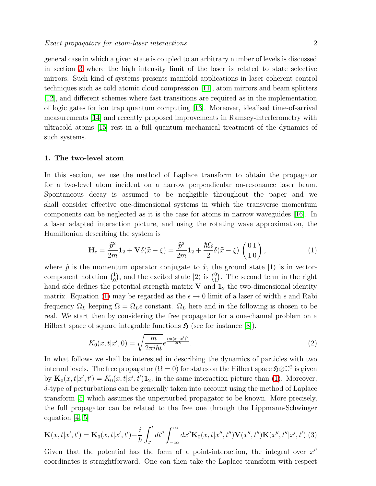general case in which a given state is coupled to an arbitrary number of levels is discussed in section [3](#page-4-0) where the high intensity limit of the laser is related to state selective mirrors. Such kind of systems presents manifold applications in laser coherent control techniques such as cold atomic cloud compression [\[11\]](#page-11-10), atom mirrors and beam splitters [\[12\]](#page-11-11), and different schemes where fast transitions are required as in the implementation of logic gates for ion trap quantum computing [\[13\]](#page-11-12). Moreover, idealised time-of-arrival measurements [\[14\]](#page-11-13) and recently proposed improvements in Ramsey-interferometry with ultracold atoms [\[15\]](#page-11-14) rest in a full quantum mechanical treatment of the dynamics of such systems.

#### <span id="page-1-0"></span>1. The two-level atom

In this section, we use the method of Laplace transform to obtain the propagator for a two-level atom incident on a narrow perpendicular on-resonance laser beam. Spontaneous decay is assumed to be negligible throughout the paper and we shall consider effective one-dimensional systems in which the transverse momentum components can be neglected as it is the case for atoms in narrow waveguides [\[16\]](#page-11-15). In a laser adapted interaction picture, and using the rotating wave approximation, the Hamiltonian describing the system is

$$
\mathbf{H}_{\rm c} = \frac{\hat{p}^2}{2m}\mathbf{1}_2 + \mathbf{V}\delta(\hat{x} - \xi) = \frac{\hat{p}^2}{2m}\mathbf{1}_2 + \frac{\hbar\Omega}{2}\delta(\hat{x} - \xi)\begin{pmatrix}0\ 1\\1\ 0\end{pmatrix},\tag{1}
$$

<span id="page-1-1"></span>where  $\hat{p}$  is the momentum operator conjugate to  $\hat{x}$ , the ground state  $|1\rangle$  is in vectorcomponent notation  $\binom{1}{0}$  $\binom{1}{0}$ , and the excited state  $|2\rangle$  is  $\binom{0}{1}$  $_{1}^{0}$ ). The second term in the right hand side defines the potential strength matrix  $V$  and  $1<sub>2</sub>$  the two-dimensional identity matrix. Equation [\(1\)](#page-1-1) may be regarded as the  $\epsilon \to 0$  limit of a laser of width  $\epsilon$  and Rabi frequency  $\Omega_L$  keeping  $\Omega = \Omega_L \epsilon$  constant.  $\Omega_L$  here and in the following is chosen to be real. We start then by considering the free propagator for a one-channel problem on a Hilbert space of square integrable functions  $\mathfrak{H}$  (see for instance  $(8)$ ),

$$
K_0(x, t|x', 0) = \sqrt{\frac{m}{2\pi i\hbar t}} e^{\frac{im(x - x')^2}{2t\hbar}}.
$$
\n(2)

<span id="page-1-2"></span>In what follows we shall be interested in describing the dynamics of particles with two internal levels. The free propagator ( $\Omega = 0$ ) for states on the Hilbert space  $\mathfrak{H} \otimes \mathbb{C}^2$  is given by  $\mathbf{K}_0(x,t|x',t') = K_0(x,t|x',t')\mathbf{1}_2$ , in the same interaction picture than [\(1\)](#page-1-1). Moreover,  $\delta$ -type of perturbations can be generally taken into account using the method of Laplace transform [\[5\]](#page-11-4) which assumes the unperturbed propagator to be known. More precisely, the full propagator can be related to the free one through the Lippmann-Schwinger equation [\[4,](#page-11-3) [5\]](#page-11-4)

$$
\mathbf{K}(x,t|x',t') = \mathbf{K}_0(x,t|x',t') - \frac{i}{\hbar} \int_{t'}^t dt'' \int_{-\infty}^{\infty} dx'' \mathbf{K}_0(x,t|x'',t'') \mathbf{V}(x'',t'') \mathbf{K}(x'',t''|x',t').(3)
$$

Given that the potential has the form of a point-interaction, the integral over  $x''$ coordinates is straightforward. One can then take the Laplace transform with respect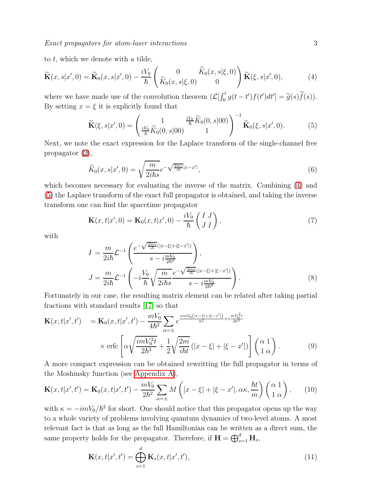<span id="page-2-0"></span>to  $t$ , which we denote with a tilde,

$$
\widetilde{\mathbf{K}}(x,s|x',0) = \widetilde{\mathbf{K}}_0(x,s|x',0) - \frac{iV_0}{\hbar} \left( \begin{array}{cc} 0 & \widetilde{K}_0(x,s|\xi,0) \\ \widetilde{K}_0(x,s|\xi,0) & 0 \end{array} \right) \widetilde{\mathbf{K}}(\xi,s|x',0), \tag{4}
$$

<span id="page-2-1"></span>where we have made use of the convolution theorem  $\left(\mathcal{L}\left[\int_0^t g(t-t')f(t')dt'\right] = \tilde{g}(s)\tilde{f}(s)\right)$ . By setting  $x = \xi$  it is explicitly found that

$$
\widetilde{\mathbf{K}}(\xi, s | x', 0) = \left(\frac{1}{\frac{iV_0}{\hbar} \widetilde{K}_0(0, s | 00)} \frac{\frac{iV_0}{\hbar} \widetilde{K}_0(0, s | 00)}{1}\right)^{-1} \widetilde{\mathbf{K}}_0(\xi, s | x', 0).
$$
(5)

Next, we note the exact expression for the Laplace transform of the single-channel free propagator [\(2\)](#page-1-2),

$$
\widetilde{K}_0(x,s|x',0) = \sqrt{\frac{m}{2i\hbar s}}e^{-\sqrt{\frac{2ms}{i\hbar}}|x-x'|},\tag{6}
$$

which becomes necessary for evaluating the inverse of the matrix. Combining [\(4\)](#page-2-0) and [\(5\)](#page-2-1) the Laplace transform of the exact full propagator is obtained, and taking the inverse transform one can find the spacetime propagator

$$
\mathbf{K}(x,t|x',0) = \mathbf{K}_0(x,t|x',0) - \frac{iV_0}{\hbar} \begin{pmatrix} I & J \\ J & I \end{pmatrix},\tag{7}
$$

with

$$
I = \frac{m}{2i\hbar} \mathcal{L}^{-1} \left( \frac{e^{-\sqrt{\frac{2ms}{i\hbar}}(|x-\xi|+|\xi-x'|)}}{s-i\frac{mV_0}{2\hbar^3}} \right),
$$
  
\n
$$
J = \frac{m}{2i\hbar} \mathcal{L}^{-1} \left( -i\frac{V_0}{\hbar} \sqrt{\frac{m}{2i\hbar s}} \frac{e^{-\sqrt{\frac{2ms}{i\hbar}}(|x-\xi|+|\xi-x'|)}}{s-i\frac{mV_0}{2\hbar^3}} \right).
$$
 (8)

Fortunately in our case, the resulting matrix element can be related after taking partial fractions with standard results [\[17\]](#page-11-16) so that

$$
\mathbf{K}(x,t|x',t') = \mathbf{K}_0(x,t|x',t') - \frac{mV_0}{4\hbar^2} \sum_{\alpha=\pm} e^{\frac{\alpha m V_0(|x-\xi|+|\xi-x'|)}{\hbar^2} + i\frac{mV_0^2 t}{2\hbar^3}} \times \text{erfc}\left[\alpha \sqrt{\frac{imV_0^2 t}{2\hbar^3}} + \frac{1}{2} \sqrt{\frac{2m}{i\hbar t}} (|x-\xi|+|\xi-x'|)\right] \begin{pmatrix} \alpha & 1\\ 1 & \alpha \end{pmatrix}.
$$
 (9)

A more compact expression can be obtained rewritting the full propagator in terms of the Moshinsky function (see [Appendix A\)](#page-11-17),

$$
\mathbf{K}(x,t|x',t') = \mathbf{K}_0(x,t|x',t') - \frac{mV_0}{2\hbar^2} \sum_{\alpha=\pm} M\left(|x-\xi|+|\xi-x'|,\alpha\kappa,\frac{\hbar t}{m}\right) \begin{pmatrix} \alpha & 1\\ 1 & \alpha \end{pmatrix},\qquad(10)
$$

<span id="page-2-2"></span>with  $\kappa = -imV_0/\hbar^2$  for short. One should notice that this propagator opens up the way to a whole variety of problems involving quantum dynamics of two-level atoms. A most relevant fact is that as long as the full Hamiltonian can be written as a direct sum, the same property holds for the propagator. Therefore, if  $\mathbf{H} = \bigoplus_{s=1}^{d} \mathbf{H}_{s}$ ,

$$
\mathbf{K}(x,t|x',t') = \bigoplus_{s=1}^{d} \mathbf{K}_s(x,t|x',t'),\tag{11}
$$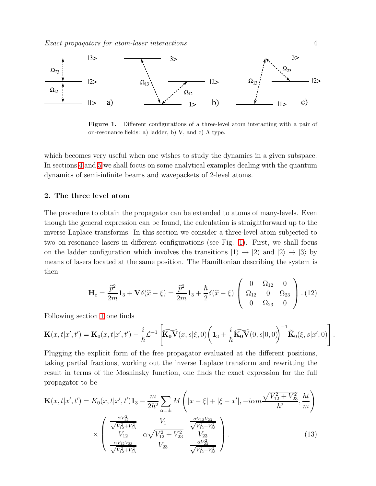Exact propagators for atom-laser interactions 4



<span id="page-3-1"></span>Figure 1. Different configurations of a three-level atom interacting with a pair of on-resonance fields: a) ladder, b) V, and c)  $\Lambda$  type.

which becomes very useful when one wishes to study the dynamics in a given subspace. In sections [4](#page-6-0) and [5](#page-9-0) we shall focus on some analytical examples dealing with the quantum dynamics of semi-infinite beams and wavepackets of 2-level atoms.

# <span id="page-3-0"></span>2. The three level atom

The procedure to obtain the propagator can be extended to atoms of many-levels. Even though the general expression can be found, the calculation is straightforward up to the inverse Laplace transforms. In this section we consider a three-level atom subjected to two on-resonance lasers in different configurations (see Fig. [1\)](#page-3-1). First, we shall focus on the ladder configuration which involves the transitions  $|1\rangle \rightarrow |2\rangle$  and  $|2\rangle \rightarrow |3\rangle$  by means of lasers located at the same position. The Hamiltonian describing the system is then

$$
\mathbf{H}_{\rm c} = \frac{\hat{p}^2}{2m} \mathbf{1}_3 + \mathbf{V} \delta(\hat{x} - \xi) = \frac{\hat{p}^2}{2m} \mathbf{1}_3 + \frac{\hbar}{2} \delta(\hat{x} - \xi) \begin{pmatrix} 0 & \Omega_{12} & 0 \\ \Omega_{12} & 0 & \Omega_{23} \\ 0 & \Omega_{23} & 0 \end{pmatrix} . (12)
$$

Following section [1](#page-1-0) one finds

$$
\mathbf{K}(x,t|x',t') = \mathbf{K}_0(x,t|x',t') - \frac{i}{\hbar}\mathcal{L}^{-1}\left[\widetilde{\mathbf{K}_0\mathbf{V}}(x,s|\xi,0)\bigg(\mathbf{1}_3 + \frac{i}{\hbar}\widetilde{\mathbf{K}_0\mathbf{V}}(0,s|0,0)\bigg)^{-1}\widetilde{\mathbf{K}}_0(\xi,s|x',0)\right].
$$

Plugging the explicit form of the free propagator evaluated at the different positions, taking partial fractions, working out the inverse Laplace transform and rewritting the result in terms of the Moshinsky function, one finds the exact expression for the full propagator to be

$$
\mathbf{K}(x,t|x',t') = K_0(x,t|x',t')\mathbf{1}_3 - \frac{m}{2\hbar^2} \sum_{\alpha=\pm} M\left(|x-\xi|+|\xi-x'|, -i\alpha m \frac{\sqrt{V_{12}^2 + V_{23}^2}}{\hbar^2}, \frac{\hbar t}{m}\right)
$$

$$
\times \begin{pmatrix} \frac{\alpha V_{12}^2}{\sqrt{V_{12}^2 + V_{23}^2}} & V_1 & \frac{\alpha V_{12} V_{23}}{\sqrt{V_{12}^2 + V_{23}^2}}\\ V_{12} & \alpha \sqrt{V_{12}^2 + V_{23}^2} & V_{23} & V_{23} \\ \frac{\alpha V_{12} V_{23}}{\sqrt{V_{12}^2 + V_{23}^2}} & V_{23} & \frac{\alpha V_{23}^2}{\sqrt{V_{12}^2 + V_{23}^2}} \end{pmatrix}.
$$
(13)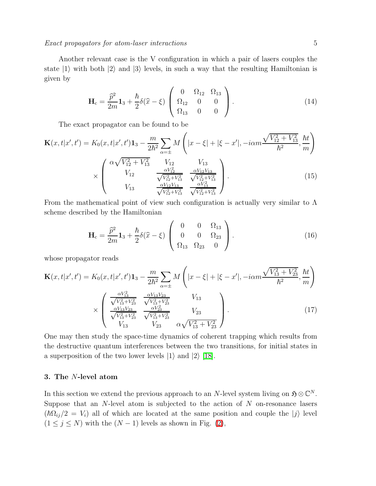Exact propagators for atom-laser interactions 5

Another relevant case is the V configuration in which a pair of lasers couples the state  $|1\rangle$  with both  $|2\rangle$  and  $|3\rangle$  levels, in such a way that the resulting Hamiltonian is given by

$$
\mathbf{H}_{c} = \frac{\hat{p}^{2}}{2m} \mathbf{1}_{3} + \frac{\hbar}{2} \delta(\hat{x} - \xi) \begin{pmatrix} 0 & \Omega_{12} & \Omega_{13} \\ \Omega_{12} & 0 & 0 \\ \Omega_{13} & 0 & 0 \end{pmatrix} . \tag{14}
$$

The exact propagator can be found to be

$$
\mathbf{K}(x,t|x',t') = K_0(x,t|x',t')\mathbf{1}_3 - \frac{m}{2\hbar^2} \sum_{\alpha=\pm} M\left(|x-\xi|+|\xi-x'|, -i\alpha m \frac{\sqrt{V_{12}^2 + V_{13}^2}}{\hbar^2}, \frac{\hbar t}{m}\right)
$$

$$
\times \begin{pmatrix} \alpha \sqrt{V_{12}^2 + V_{13}^2} & V_{12} & V_{13} \\ V_{12} & \frac{\alpha V_{12}^2}{\sqrt{V_{12}^2 + V_{13}^2}} & \frac{\alpha V_{12}V_{13}}{\sqrt{V_{12}^2 + V_{13}^2}} \\ V_{13} & \frac{\alpha V_{12}V_{13}}{\sqrt{V_{12}^2 + V_{13}^2}} & \frac{\alpha V_{13}^2}{\sqrt{V_{12}^2 + V_{13}^2}} \end{pmatrix}.
$$
(15)

From the mathematical point of view such configuration is actually very similar to  $\Lambda$ scheme described by the Hamiltonian

$$
\mathbf{H}_{c} = \frac{\hat{p}^{2}}{2m} \mathbf{1}_{3} + \frac{\hbar}{2} \delta(\hat{x} - \xi) \begin{pmatrix} 0 & 0 & \Omega_{13} \\ 0 & 0 & \Omega_{23} \\ \Omega_{13} & \Omega_{23} & 0 \end{pmatrix} . \tag{16}
$$

whose propagator reads

$$
\mathbf{K}(x,t|x',t') = K_0(x,t|x',t')\mathbf{1}_3 - \frac{m}{2\hbar^2} \sum_{\alpha=\pm} M\left(|x-\xi| + |\xi - x'|, -i\alpha m \frac{\sqrt{V_{13}^2 + V_{23}^2}}{\hbar^2}, \frac{\hbar t}{m}\right)
$$

$$
\times \begin{pmatrix} \frac{\alpha V_{13}^2}{\sqrt{V_{13}^2 + V_{23}^2}} & \frac{\alpha V_{13} V_{23}}{\sqrt{V_{13}^2 + V_{23}^2}} & V_{13} \\ \frac{\alpha V_{13} V_{23}}{\sqrt{V_{13}^2 + V_{23}^2}} & \frac{\alpha V_{23}^2}{\sqrt{V_{13}^2 + V_{23}^2}} & V_{23} \\ V_{13} & V_{23} & \alpha \sqrt{V_{13}^2 + V_{23}^2} \end{pmatrix}.
$$
(17)

One may then study the space-time dynamics of coherent trapping which results from the destructive quantum interferences between the two transitions, for initial states in a superposition of the two lower levels  $|1\rangle$  and  $|2\rangle$  [\[18\]](#page-11-18).

### <span id="page-4-0"></span>3. The N-level atom

In this section we extend the previous approach to an N-level system living on  $\mathfrak{H} \otimes \mathbb{C}^N$ . Suppose that an  $N$ -level atom is subjected to the action of  $N$  on-resonance lasers  $(\hbar\Omega_{ij}/2 = V_i)$  all of which are located at the same position and couple the  $|j\rangle$  level  $(1 \le j \le N)$  with the  $(N-1)$  levels as shown in Fig.  $(2)$ ,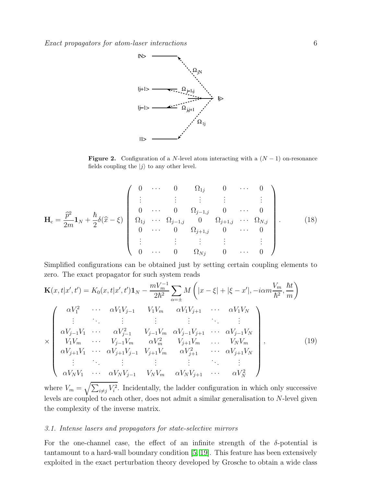

<span id="page-5-0"></span>Figure 2. Configuration of a N-level atom interacting with a  $(N-1)$  on-resonance fields coupling the  $|j\rangle$  to any other level.

$$
\mathbf{H}_{c} = \frac{\hat{p}^{2}}{2m} \mathbf{1}_{N} + \frac{\hbar}{2} \delta(\hat{x} - \xi) \begin{pmatrix} 0 & \cdots & 0 & \Omega_{1j} & 0 & \cdots & 0 \\ \vdots & \vdots & \vdots & \vdots & & \vdots \\ 0 & \cdots & 0 & \Omega_{j-1,j} & 0 & \cdots & 0 \\ \Omega_{1j} & \cdots & \Omega_{j-1,j} & 0 & \Omega_{j+1,j} & \cdots & \Omega_{N,j} \\ 0 & \cdots & 0 & \Omega_{j+1,j} & 0 & \cdots & 0 \\ \vdots & \vdots & \vdots & \vdots & & \vdots \\ 0 & \cdots & 0 & \Omega_{Nj} & 0 & \cdots & 0 \end{pmatrix} .
$$
 (18)

Simplified configurations can be obtained just by setting certain coupling elements to zero. The exact propagator for such system reads

$$
\mathbf{K}(x,t|x',t') = K_0(x,t|x',t')\mathbf{1}_N - \frac{mV_m^{-1}}{2\hbar^2} \sum_{\alpha=\pm} M\left(|x-\xi|+|\xi-x'|, -i\alpha m \frac{V_m}{\hbar^2}, \frac{\hbar t}{m}\right)
$$
\n
$$
\times \begin{pmatrix}\n\alpha V_1^2 & \cdots & \alpha V_1 V_{j-1} & V_1 V_m & \alpha V_1 V_{j+1} & \cdots & \alpha V_1 V_N \\
\vdots & \ddots & \vdots & \vdots & \ddots & \vdots \\
\alpha V_{j-1} V_1 & \cdots & \alpha V_{j-1}^2 & V_{j-1} V_m & \alpha V_{j-1} V_{j+1} & \cdots & \alpha V_{j-1} V_N \\
V_1 V_m & \cdots & V_{j-1} V_m & \alpha V_m^2 & V_{j+1} V_m & \cdots & V_N V_m \\
\alpha V_{j+1} V_1 & \cdots & \alpha V_{j+1} V_{j-1} & V_{j+1} V_m & \alpha V_{j+1}^2 & \cdots & \alpha V_{j+1} V_N \\
\vdots & \ddots & \vdots & \vdots & \vdots & \ddots & \vdots \\
\alpha V_N V_1 & \cdots & \alpha V_N V_{j-1} & V_N V_m & \alpha V_N V_{j+1} & \cdots & \alpha V_N^2\n\end{pmatrix},
$$
\n(19)

where  $V_m = \sqrt{\sum_{i \neq j} V_i^2}$ . Incidentally, the ladder configuration in which only successive levels are coupled to each other, does not admit a similar generalisation to N-level given the complexity of the inverse matrix.

## 3.1. Intense lasers and propagators for state-selective mirrors

For the one-channel case, the effect of an infinite strength of the  $\delta$ -potential is tantamount to a hard-wall boundary condition [\[5,](#page-11-4) [19\]](#page-11-19). This feature has been extensively exploited in the exact perturbation theory developed by Grosche to obtain a wide class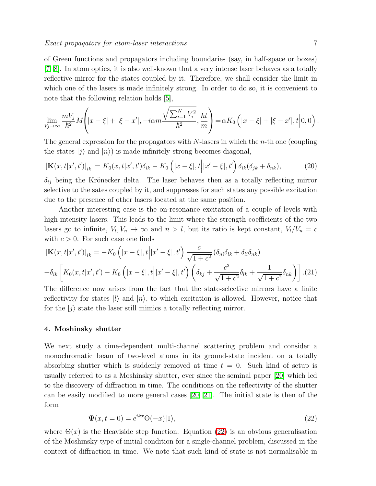of Green functions and propagators including boundaries (say, in half-space or boxes) [\[7,](#page-11-6) [8\]](#page-11-7). In atom optics, it is also well-known that a very intense laser behaves as a totally reflective mirror for the states coupled by it. Therefore, we shall consider the limit in which one of the lasers is made infinitely strong. In order to do so, it is convenient to note that the following relation holds  $[5]$ ,

$$
\lim_{V_j \to \infty} \frac{m V_j}{\hbar^2} M\left( |x - \xi| + |\xi - x'|, -i \alpha m \frac{\sqrt{\sum_{i=1}^N V_i^2}}{\hbar^2}, \frac{\hbar t}{m} \right) = \alpha K_0 \left( |x - \xi| + |\xi - x'|, t \middle| 0, 0 \right).
$$

The general expression for the propagators with  $N$ -lasers in which the *n*-th one (coupling the states  $|j\rangle$  and  $|n\rangle$  is made infinitely strong becomes diagonal,

$$
[\mathbf{K}(x,t|x',t')]_{ik} = K_0(x,t|x',t')\delta_{ik} - K_0(|x-\xi|,t||x'-\xi|,t')\delta_{ik}(\delta_{jk} + \delta_{nk}),
$$
 (20)

 $\delta_{ij}$  being the Krönecker delta. The laser behaves then as a totally reflecting mirror selective to the sates coupled by it, and suppresses for such states any possible excitation due to the presence of other lasers located at the same position.

Another interesting case is the on-resonance excitation of a couple of levels with high-intensity lasers. This leads to the limit where the strength coefficients of the two lasers go to infinite,  $V_l$ ,  $V_n \to \infty$  and  $n > l$ , but its ratio is kept constant,  $V_l/V_n = c$ with  $c > 0$ . For such case one finds

$$
[\mathbf{K}(x,t|x',t')]_{ik} = -K_0 \left( |x-\xi|,t \middle| |x'-\xi|,t' \right) \frac{c}{\sqrt{1+c^2}} (\delta_{ni}\delta_{lk} + \delta_{li}\delta_{nk})
$$
  
+ $\delta_{ik} \left[ K_0(x,t|x',t') - K_0 \left( |x-\xi|,t \middle| |x'-\xi|,t' \right) \left( \delta_{kj} + \frac{c^2}{\sqrt{1+c^2}} \delta_{lk} + \frac{1}{\sqrt{1+c^2}} \delta_{nk} \right) \right]. (21)$ 

The difference now arises from the fact that the state-selective mirrors have a finite reflectivity for states  $|l\rangle$  and  $|n\rangle$ , to which excitation is allowed. However, notice that for the  $|j\rangle$  state the laser still mimics a totally reflecting mirror.

## <span id="page-6-0"></span>4. Moshinsky shutter

We next study a time-dependent multi-channel scattering problem and consider a monochromatic beam of two-level atoms in its ground-state incident on a totally absorbing shutter which is suddenly removed at time  $t = 0$ . Such kind of setup is usually referred to as a Moshinsky shutter, ever since the seminal paper [\[20\]](#page-12-0) which led to the discovery of diffraction in time. The conditions on the reflectivity of the shutter can be easily modified to more general cases [\[20,](#page-12-0) [21\]](#page-12-1). The initial state is then of the form

$$
\Psi(x, t=0) = e^{ikx} \Theta(-x)|1\rangle,
$$
\n(22)

<span id="page-6-1"></span>where  $\Theta(x)$  is the Heaviside step function. Equation [\(22\)](#page-6-1) is an obvious generalisation of the Moshinsky type of initial condition for a single-channel problem, discussed in the context of diffraction in time. We note that such kind of state is not normalisable in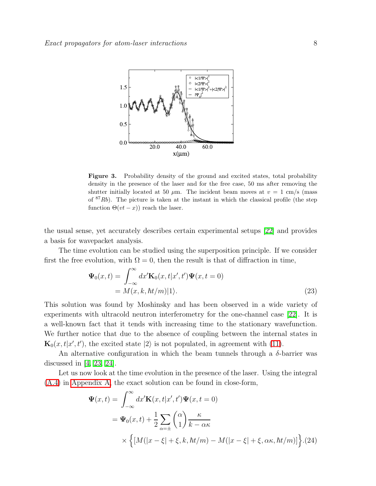

<span id="page-7-0"></span>Figure 3. Probability density of the ground and excited states, total probability density in the presence of the laser and for the free case, 50 ms after removing the shutter initially located at 50  $\mu$ m. The incident beam moves at  $v = 1$  cm/s (mass of  $87Rb$ ). The picture is taken at the instant in which the classical profile (the step function  $\Theta(vt-x)$  reach the laser.

the usual sense, yet accurately describes certain experimental setups [\[22\]](#page-12-2) and provides a basis for wavepacket analysis.

The time evolution can be studied using the superposition principle. If we consider first the free evolution, with  $\Omega = 0$ , then the result is that of diffraction in time,

$$
\Psi_0(x,t) = \int_{-\infty}^{\infty} dx' \mathbf{K}_0(x,t|x',t') \Psi(x,t=0)
$$
  
=  $M(x,k,\hbar t/m)|1\rangle.$  (23)

This solution was found by Moshinsky and has been observed in a wide variety of experiments with ultracold neutron interferometry for the one-channel case [\[22\]](#page-12-2). It is a well-known fact that it tends with increasing time to the stationary wavefunction. We further notice that due to the absence of coupling between the internal states in  $\mathbf{K}_0(x,t|x',t')$ , the excited state  $|2\rangle$  is not populated, in agreement with [\(11\)](#page-2-2).

An alternative configuration in which the beam tunnels through a  $\delta$ -barrier was discussed in  $[4, 23, 24]$  $[4, 23, 24]$  $[4, 23, 24]$ .

<span id="page-7-1"></span>Let us now look at the time evolution in the presence of the laser. Using the integral [\(A.4\)](#page-11-20) in [Appendix A,](#page-11-17) the exact solution can be found in close-form,

$$
\Psi(x,t) = \int_{-\infty}^{\infty} dx' \mathbf{K}(x,t|x',t') \Psi(x,t=0)
$$
  
=  $\Psi_0(x,t) + \frac{1}{2} \sum_{\alpha=\pm} {\alpha \choose 1} \frac{\kappa}{k - \alpha \kappa}$   
 $\times \left\{ [M(|x-\xi| + \xi, k, \hbar t/m) - M(|x-\xi| + \xi, \alpha \kappa, \hbar t/m)] \right\}.$  (24)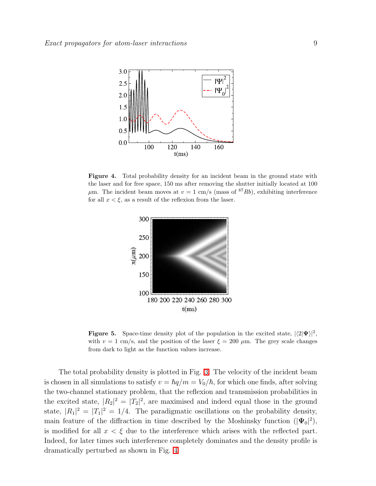

<span id="page-8-0"></span>Figure 4. Total probability density for an incident beam in the ground state with the laser and for free space, 150 ms after removing the shutter initially located at 100  $\mu$ m. The incident beam moves at  $v = 1$  cm/s (mass of <sup>87</sup>Rb), exhibiting interference for all  $x < \xi$ , as a result of the reflexion from the laser.



<span id="page-8-1"></span>**Figure 5.** Space-time density plot of the population in the excited state,  $|\langle 2|\Psi\rangle|^2$ , with  $v = 1$  cm/s, and the position of the laser  $\xi = 200 \mu$ m. The grey scale changes from dark to light as the function values increase.

The total probability density is plotted in Fig. [3.](#page-7-0) The velocity of the incident beam is chosen in all simulations to satisfy  $v = \hbar q/m = V_0/\hbar$ , for which one finds, after solving the two-channel stationary problem, that the reflexion and transmission probabilities in the excited state,  $|R_2|^2 = |T_2|^2$ , are maximised and indeed equal those in the ground state,  $|R_1|^2 = |T_1|^2 = 1/4$ . The paradigmatic oscillations on the probability density, main feature of the diffraction in time described by the Moshinsky function  $(|\Psi_0|^2)$ , is modified for all  $x < \xi$  due to the interference which arises with the reflected part. Indeed, for later times such interference completely dominates and the density profile is dramatically perturbed as shown in Fig. [4.](#page-8-0)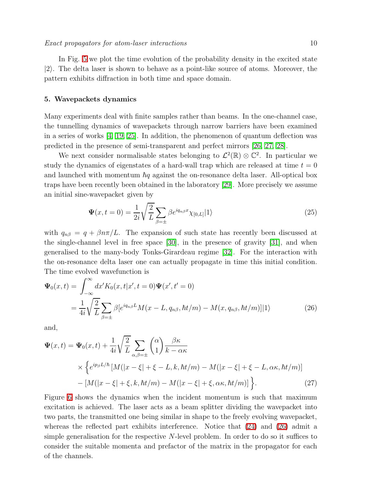In Fig. [5](#page-8-1) we plot the time evolution of the probability density in the excited state  $|2\rangle$ . The delta laser is shown to behave as a point-like source of atoms. Moreover, the pattern exhibits diffraction in both time and space domain.

#### <span id="page-9-0"></span>5. Wavepackets dynamics

Many experiments deal with finite samples rather than beams. In the one-channel case, the tunnelling dynamics of wavepackets through narrow barriers have been examined in a series of works [\[4,](#page-11-3) [19,](#page-11-19) [25\]](#page-12-5). In addition, the phenomenon of quantum deflection was predicted in the presence of semi-transparent and perfect mirrors [\[26,](#page-12-6) [27,](#page-12-7) [28\]](#page-12-8).

We next consider normalisable states belonging to  $\mathcal{L}^2(\mathbb{R}) \otimes \mathbb{C}^2$ . In particular we study the dynamics of eigenstates of a hard-wall trap which are released at time  $t = 0$ and launched with momentum  $\hbar q$  against the on-resonance delta laser. All-optical box traps have been recently been obtained in the laboratory [\[29\]](#page-12-9). More precisely we assume an initial sine-wavepacket given by

$$
\Psi(x,t=0) = \frac{1}{2i} \sqrt{\frac{2}{L}} \sum_{\beta=\pm} \beta e^{iq_{n\beta}x} \chi_{[0,L]}|1\rangle \tag{25}
$$

with  $q_{n\beta} = q + \beta n \pi/L$ . The expansion of such state has recently been discussed at the single-channel level in free space [\[30\]](#page-12-10), in the presence of gravity [\[31\]](#page-12-11), and when generalised to the many-body Tonks-Girardeau regime [\[32\]](#page-12-12). For the interaction with the on-resonance delta laser one can actually propagate in time this initial condition. The time evolved wavefunction is

<span id="page-9-1"></span>
$$
\Psi_0(x,t) = \int_{-\infty}^{\infty} dx' K_0(x,t|x',t=0) \Psi(x',t'=0)
$$
  
= 
$$
\frac{1}{4i} \sqrt{\frac{2}{L}} \sum_{\beta=\pm} \beta [e^{iq_{n\beta}L} M(x-L,q_{n\beta},\hbar t/m) - M(x,q_{n\beta},\hbar t/m)]|1\rangle
$$
 (26)

and,

$$
\Psi(x,t) = \Psi_0(x,t) + \frac{1}{4i} \sqrt{\frac{2}{L}} \sum_{\alpha,\beta=\pm} {\alpha \choose 1} \frac{\beta \kappa}{k - \alpha \kappa}
$$
  
 
$$
\times \left\{ e^{ip_\beta L/\hbar} \left[ M(|x-\xi| + \xi - L, k, \hbar t/m) - M(|x-\xi| + \xi - L, \alpha \kappa, \hbar t/m) \right] - [M(|x-\xi| + \xi, k, \hbar t/m) - M(|x-\xi| + \xi, \alpha \kappa, \hbar t/m)] \right\}.
$$
 (27)

Figure [6](#page-10-0) shows the dynamics when the incident momentum is such that maximum excitation is achieved. The laser acts as a beam splitter dividing the wavepacket into two parts, the transmitted one being similar in shape to the freely evolving wavepacket, whereas the reflected part exhibits interference. Notice that [\(24\)](#page-7-1) and [\(26\)](#page-9-1) admit a simple generalisation for the respective N-level problem. In order to do so it suffices to consider the suitable momenta and prefactor of the matrix in the propagator for each of the channels.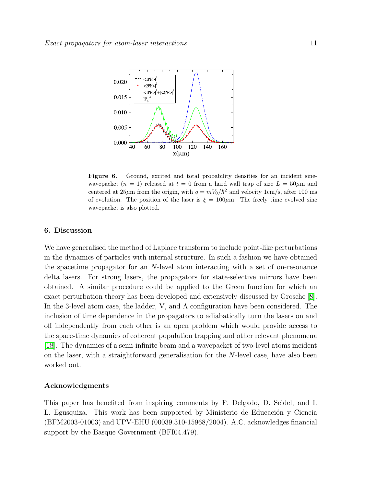

<span id="page-10-0"></span>Figure 6. Ground, excited and total probability densities for an incident sinewavepacket  $(n = 1)$  released at  $t = 0$  from a hard wall trap of size  $L = 50 \mu m$  and centered at  $25\mu$ m from the origin, with  $q = mV_0/\hbar^2$  and velocity 1cm/s, after 100 ms of evolution. The position of the laser is  $\xi = 100 \mu m$ . The freely time evolved sine wavepacket is also plotted.

## 6. Discussion

We have generalised the method of Laplace transform to include point-like perturbations in the dynamics of particles with internal structure. In such a fashion we have obtained the spacetime propagator for an N-level atom interacting with a set of on-resonance delta lasers. For strong lasers, the propagators for state-selective mirrors have been obtained. A similar procedure could be applied to the Green function for which an exact perturbation theory has been developed and extensively discussed by Grosche [\[8\]](#page-11-7). In the 3-level atom case, the ladder, V, and  $\Lambda$  configuration have been considered. The inclusion of time dependence in the propagators to adiabatically turn the lasers on and off independently from each other is an open problem which would provide access to the space-time dynamics of coherent population trapping and other relevant phenomena [\[18\]](#page-11-18). The dynamics of a semi-infinite beam and a wavepacket of two-level atoms incident on the laser, with a straightforward generalisation for the N-level case, have also been worked out.

### Acknowledgments

This paper has benefited from inspiring comments by F. Delgado, D. Seidel, and I. L. Egusquiza. This work has been supported by Ministerio de Educación y Ciencia (BFM2003-01003) and UPV-EHU (00039.310-15968/2004). A.C. acknowledges financial support by the Basque Government (BFI04.479).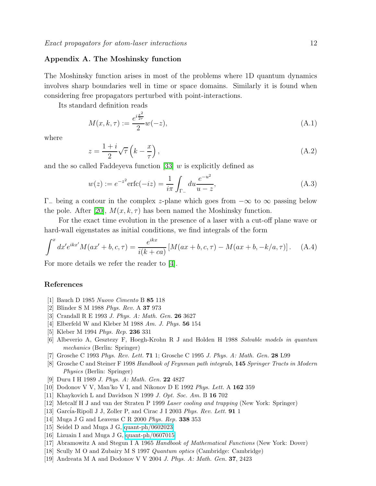## <span id="page-11-17"></span>Appendix A. The Moshinsky function

The Moshinsky function arises in most of the problems where 1D quantum dynamics involves sharp boundaries well in time or space domains. Similarly it is found when considering free propagators perturbed with point-interactions.

Its standard definition reads

$$
M(x, k, \tau) := \frac{e^{i\frac{x^2}{2\tau}}}{2}w(-z),
$$
\n(A.1)

where

$$
z = \frac{1+i}{2}\sqrt{\tau}\left(k - \frac{x}{\tau}\right),\tag{A.2}
$$

and the so called Faddeyeva function [\[33\]](#page-12-13)  $w$  is explicitly defined as

$$
w(z) := e^{-z^2} \text{erfc}(-iz) = \frac{1}{i\pi} \int_{\Gamma_{-}} du \frac{e^{-u^2}}{u - z},
$$
\n(A.3)

 $\Gamma_-\$  being a contour in the complex z-plane which goes from  $-\infty$  to  $\infty$  passing below the pole. After [\[20\]](#page-12-0),  $M(x, k, \tau)$  has been named the Moshinsky function.

For the exact time evolution in the presence of a laser with a cut-off plane wave or hard-wall eigenstates as initial conditions, we find integrals of the form

<span id="page-11-20"></span>
$$
\int^x dx' e^{ikx'} M(ax' + b, c, \tau) = \frac{e^{ikx}}{i(k + ca)} [M(ax + b, c, \tau) - M(ax + b, -k/a, \tau)]. \tag{A.4}
$$

For more details we refer the reader to [\[4\]](#page-11-3).

#### <span id="page-11-1"></span><span id="page-11-0"></span>References

- [1] Bauch D 1985 *Nuovo Cimento* B 85 118
- <span id="page-11-2"></span>[2] Blinder S M 1988 *Phys. Rev.* A 37 973
- <span id="page-11-3"></span>[3] Crandall R E 1993 *J. Phys. A: Math. Gen.* 26 3627
- <span id="page-11-4"></span>[4] Elberfeld W and Kleber M 1988 *Am. J. Phys.* 56 154
- <span id="page-11-5"></span>[5] Kleber M 1994 *Phys. Rep.* 236 331
- <span id="page-11-6"></span>[6] Albeverio A, Gesztezy F, Hoegh-Krohn R J and Holden H 1988 *Solvable models in quantum mechanics* (Berlin: Springer)
- <span id="page-11-7"></span>[7] Grosche C 1993 *Phys. Rev. Lett.* 71 1; Grosche C 1995 *J. Phys. A: Math. Gen.* 28 L99
- [8] Grosche C and Steiner F 1998 *Handbook of Feynman path integrals*, 145 *Springer Tracts in Modern Physics* (Berlin: Springer)
- [9] Duru I H 1989 *J. Phys. A: Math. Gen.* 22 4827
- <span id="page-11-10"></span><span id="page-11-9"></span><span id="page-11-8"></span>[10] Dodonov V V, Man'ko V I, and Nikonov D E 1992 *Phys. Lett.* A 162 359
- <span id="page-11-11"></span>[11] Khaykovich L and Davidson N 1999 *J. Opt. Soc. Am.* B 16 702
- <span id="page-11-12"></span>[12] Metcalf H J and van der Straten P 1999 *Laser cooling and trapping* (New York: Springer)
- <span id="page-11-13"></span>[13] Garcia-Ripoll J J, Zoller P, and Cirac J I 2003 *Phys. Rev. Lett.* **91** 1
- <span id="page-11-14"></span>[14] Muga J G and Leavens C R 2000 *Phys. Rep.* 338 353
- <span id="page-11-15"></span>[15] Seidel D and Muga J G, [quant-ph/0602023](http://arxiv.org/abs/quant-ph/0602023)
- <span id="page-11-16"></span>[16] Lizuain I and Muga J G, [quant-ph/0607015](http://arxiv.org/abs/quant-ph/0607015)
- <span id="page-11-18"></span>[17] Abramowitz A and Stegun I A 1965 *Handbook of Mathematical Functions* (New York: Dover)
- <span id="page-11-19"></span>[18] Scully M O and Zubairy M S 1997 *Quantum optics* (Cambridge: Cambridge)
- [19] Andreata M A and Dodonov V V 2004 *J. Phys. A: Math. Gen.* 37, 2423